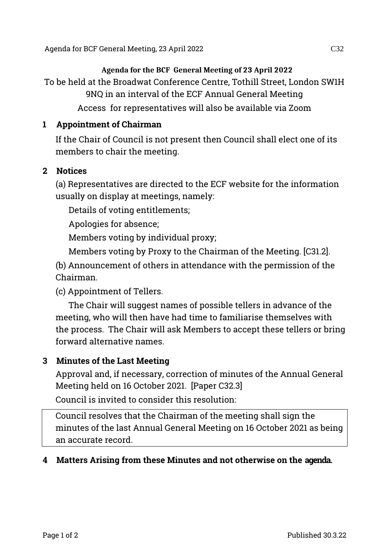#### **Agenda for the BCF General Meeting of 23 April 2022**

To be held at the Broadwat Conference Centre, Tothill Street, London SW1H 9NQ in an interval of the ECF Annual General Meeting

Access for representatives will also be available via Zoom

#### **1 Appointment of Chairman**

If the Chair of Council is not present then Council shall elect one of its members to chair the meeting.

#### **2 Notices**

(a) Representatives are directed to the ECF website for the information usually on display at meetings, namely:

Details of voting entitlements;

Apologies for absence;

Members voting by individual proxy;

Members voting by Proxy to the Chairman of the Meeting. [C31.2].

(b) Announcement of others in attendance with the permission of the Chairman.

(c) Appointment of Tellers.

The Chair will suggest names of possible tellers in advance of the meeting, who will then have had time to familiarise themselves with the process. The Chair will ask Members to accept these tellers or bring forward alternative names.

# **3 Minutes of the Last Meeting**

Approval and, if necessary, correction of minutes of the Annual General Meeting held on 16 October 2021. [Paper C32.3]

Council is invited to consider this resolution:

Council resolves that the Chairman of the meeting shall sign the minutes of the last Annual General Meeting on 16 October 2021 as being an accurate record.

# **4 Matters Arising from these Minutes and not otherwise on the agenda.**